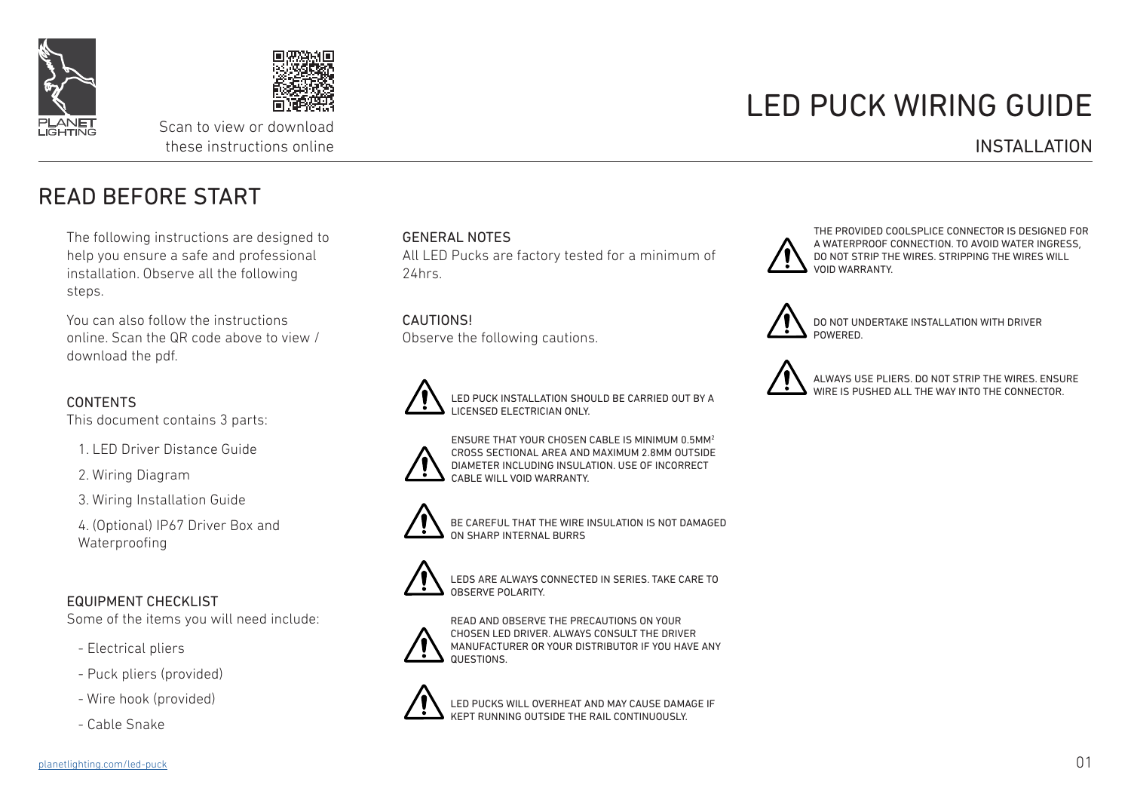



Scan to view or download these instructions online

# LED PUCK WIRING GUIDE

#### INSTALLATION

READ BEFORE START

The following instructions are designed to help you ensure a safe and professional installation. Observe all the following steps.

You can also follow the instructions online. Scan the QR code above to view / download the pdf.

#### CONTENTS

This document contains 3 parts:

1. LED Driver Distance Guide

2. Wiring Diagram

3. Wiring Installation Guide

4. (Optional) IP67 Driver Box and Waterproofing

#### EQUIPMENT CHECKLIST

Some of the items you will need include:

- Electrical pliers
- Puck pliers (provided)
- Wire hook (provided)
- Cable Snake

#### GENERAL NOTES

All LED Pucks are factory tested for a minimum of 24hrs.

**CAUTIONS!** Observe the following cautions.



LED PUCK INSTALLATION SHOULD BE CARRIED OUT BY A LICENSED ELECTRICIAN ONLY.



ENSURE THAT YOUR CHOSEN CABLE IS MINIMUM 0.5MM2 CROSS SECTIONAL AREA AND MAXIMUM 2.8MM OUTSIDE DIAMETER INCLUDING INSULATION. USE OF INCORRECT CABLE WILL VOID WARRANTY.



BE CAREFUL THAT THE WIRE INSULATION IS NOT DAMAGED ON SHARP INTERNAL BURRS



LEDS ARE ALWAYS CONNECTED IN SERIES. TAKE CARE TO OBSERVE POLARITY.



READ AND OBSERVE THE PRECAUTIONS ON YOUR CHOSEN LED DRIVER. ALWAYS CONSULT THE DRIVER MANUFACTURER OR YOUR DISTRIBUTOR IF YOU HAVE ANY QUESTIONS.



LED PUCKS WILL OVERHEAT AND MAY CAUSE DAMAGE IF KEPT RUNNING OUTSIDE THE RAIL CONTINUOUSLY.



THE PROVIDED COOLSPLICE CONNECTOR IS DESIGNED FOR A WATERPROOF CONNECTION. TO AVOID WATER INGRESS, DO NOT STRIP THE WIRES. STRIPPING THE WIRES WILL VOID WARRANTY.



DO NOT UNDERTAKE INSTALLATION WITH DRIVER **POWERED.** 



ALWAYS USE PLIERS. DO NOT STRIP THE WIRES. ENSURE WIRF IS PUSHED ALL THE WAY INTO THE CONNECTOR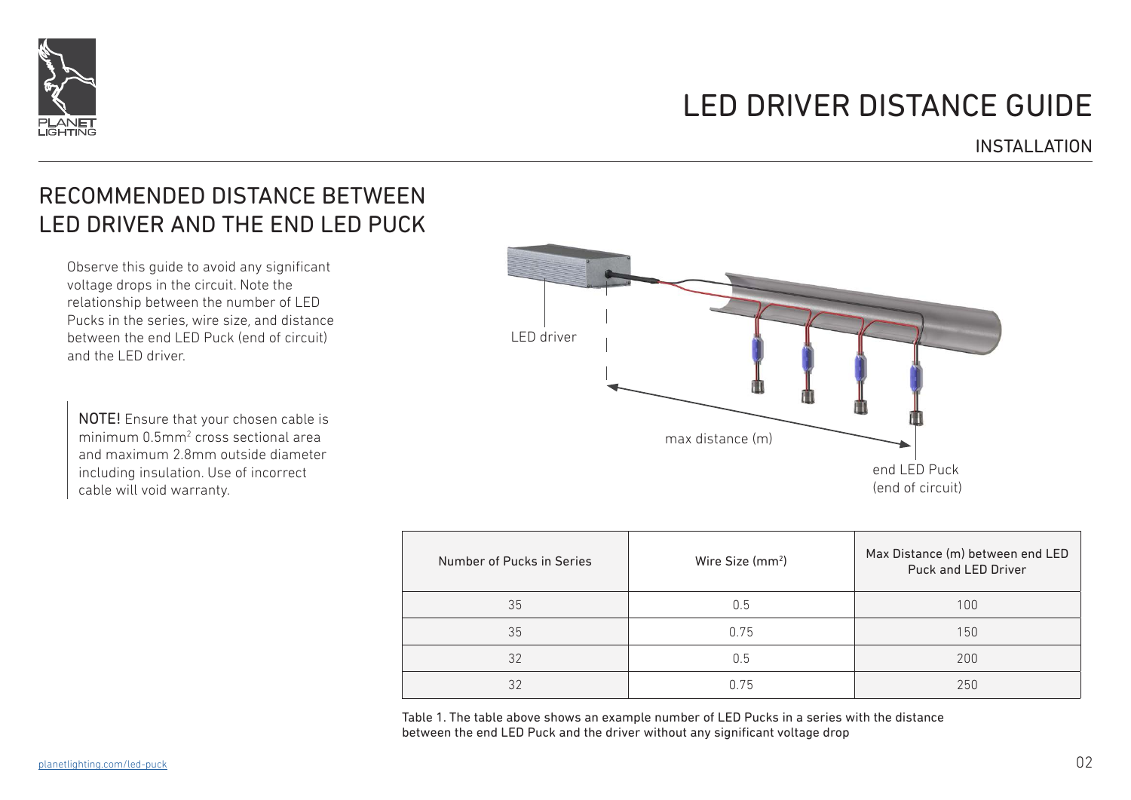

## LED DRIVER DISTANCE GUIDE

#### INSTALLATION

## RECOMMENDED DISTANCE BETWEEN LED DRIVER AND THE END LED PUCK

Observe this guide to avoid any significant voltage drops in the circuit. Note the relationship between the number of LED Pucks in the series, wire size, and distance between the end LED Puck (end of circuit) and the LED driver.

NOTE! Ensure that your chosen cable is minimum 0.5mm<sup>2</sup> cross sectional area and maximum 2.8mm outside diameter including insulation. Use of incorrect cable will void warranty.



| Number of Pucks in Series | Wire Size (mm <sup>2</sup> ) | Max Distance (m) between end LED<br>Puck and LED Driver |
|---------------------------|------------------------------|---------------------------------------------------------|
| 35                        | 0.5                          | 100                                                     |
| 35                        | 0.75                         | 150                                                     |
| 32                        | 0.5                          | 200                                                     |
| 32                        | 0.75                         | 250                                                     |

Table 1. The table above shows an example number of LED Pucks in a series with the distance between the end LED Puck and the driver without any significant voltage drop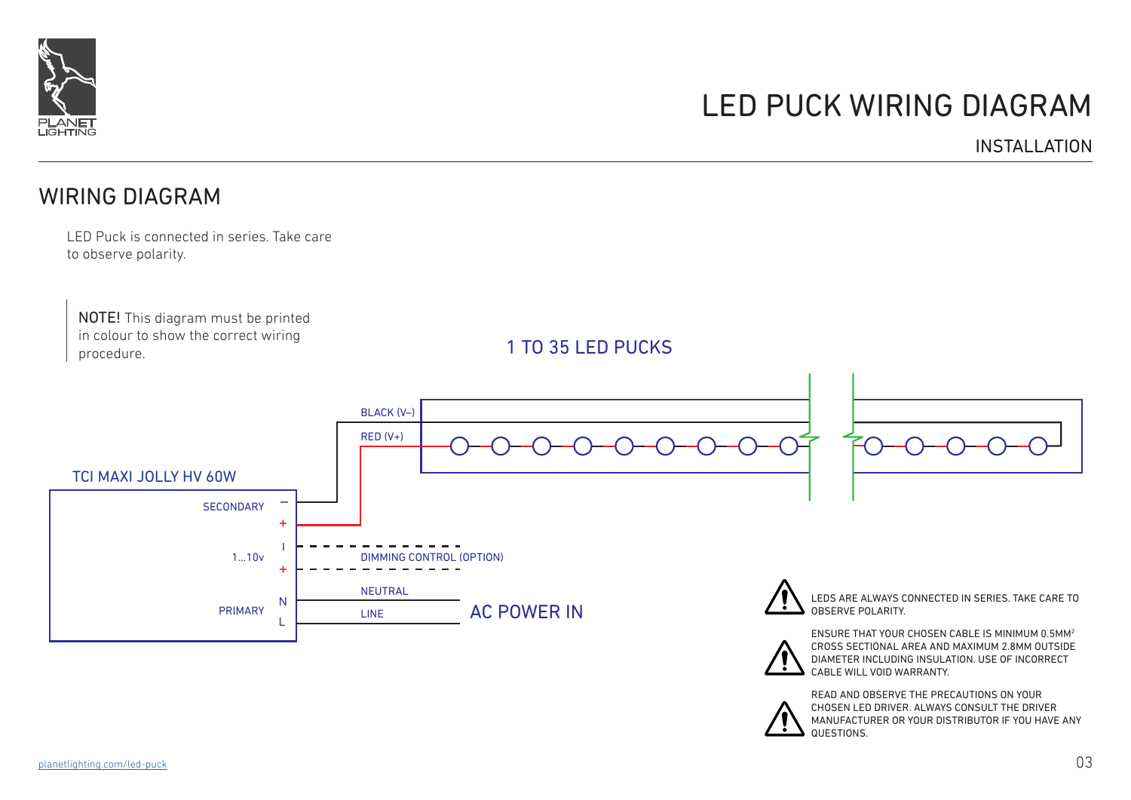

## LED PUCK WIRING DIAGRAM

INSTALLATION

### WIRING DIAGRAM

LED Puck is connected in series. Take care to observe polarity.

NOTE! This diagram must be printed in colour to show the correct wiring procedure.

1 TO 35 LED PUCKS



READ AND OBSERVE THE PRECAUTIONS ON YOUR CHOSEN LED DRIVER. ALWAYS CONSULT THE DRIVER MANUFACTURER OR YOUR DISTRIBUTOR IF YOU HAVE ANY **QUESTIONS**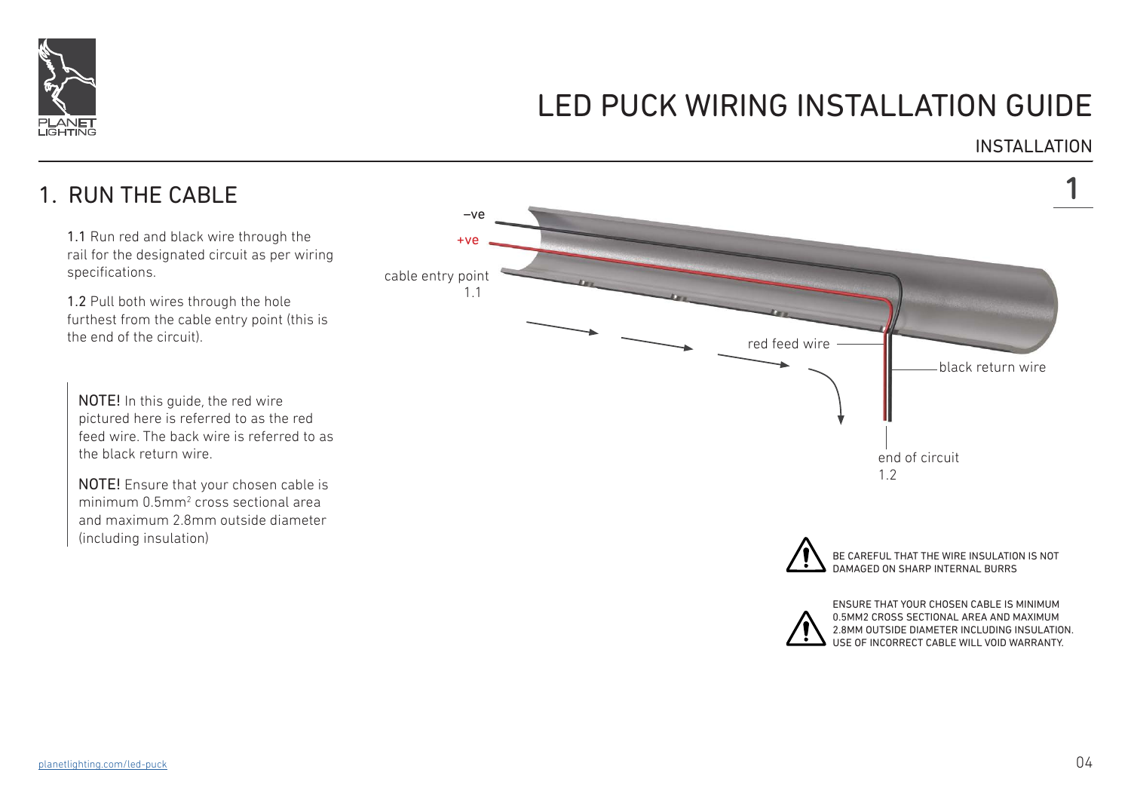

INSTALLATION

## 1. RUN THE CABLE

1.1 Run red and black wire through the rail for the designated circuit as per wiring specifications.

1.2 Pull both wires through the hole furthest from the cable entry point (this is the end of the circuit).

NOTE! In this guide, the red wire pictured here is referred to as the red feed wire. The back wire is referred to as the black return wire.

NOTE! Ensure that your chosen cable is minimum 0.5mm<sup>2</sup> cross sectional area and maximum 2.8mm outside diameter (including insulation)

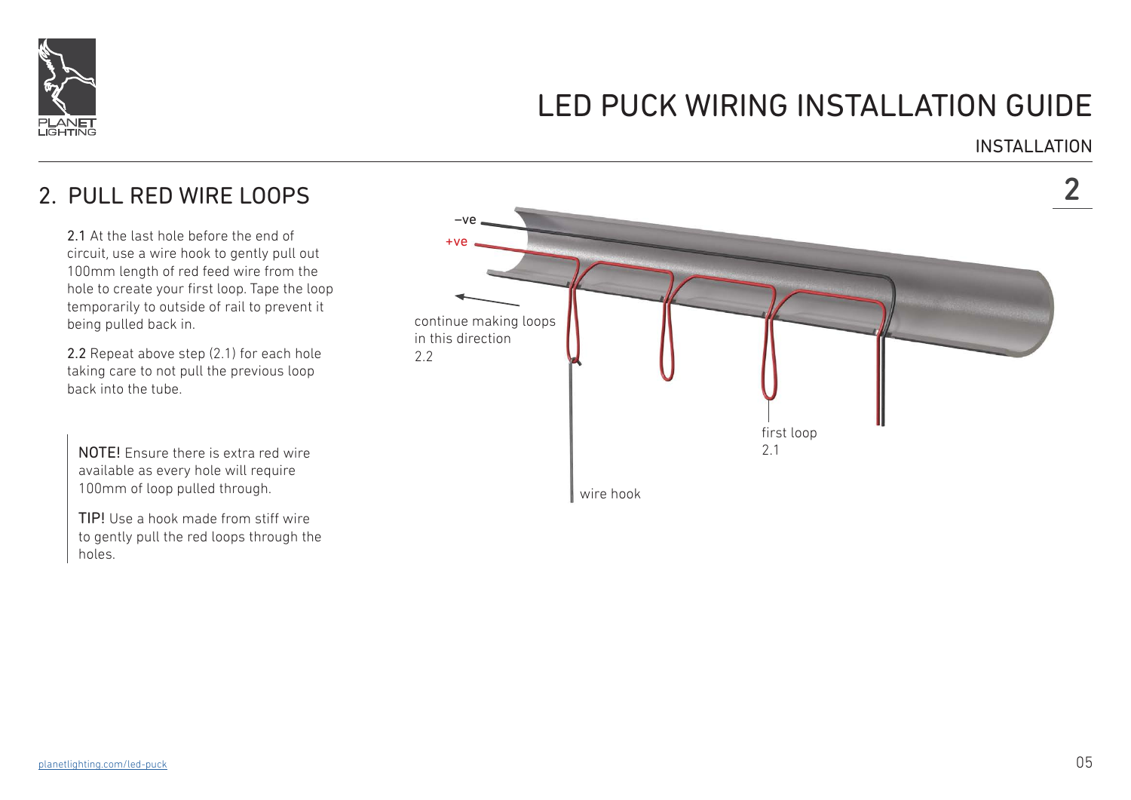

#### **INSTALLATION**

## 2. PULL RED WIRE LOOPS 2

2.1 At the last hole before the end of circuit, use a wire hook to gently pull out 100mm length of red feed wire from the hole to create your first loop. Tape the loop temporarily to outside of rail to prevent it being pulled back in.

2.2 Repeat above step (2.1) for each hole taking care to not pull the previous loop back into the tube.

NOTE! Ensure there is extra red wire available as every hole will require 100mm of loop pulled through.

TIP! Use a hook made from stiff wire to gently pull the red loops through the holes.

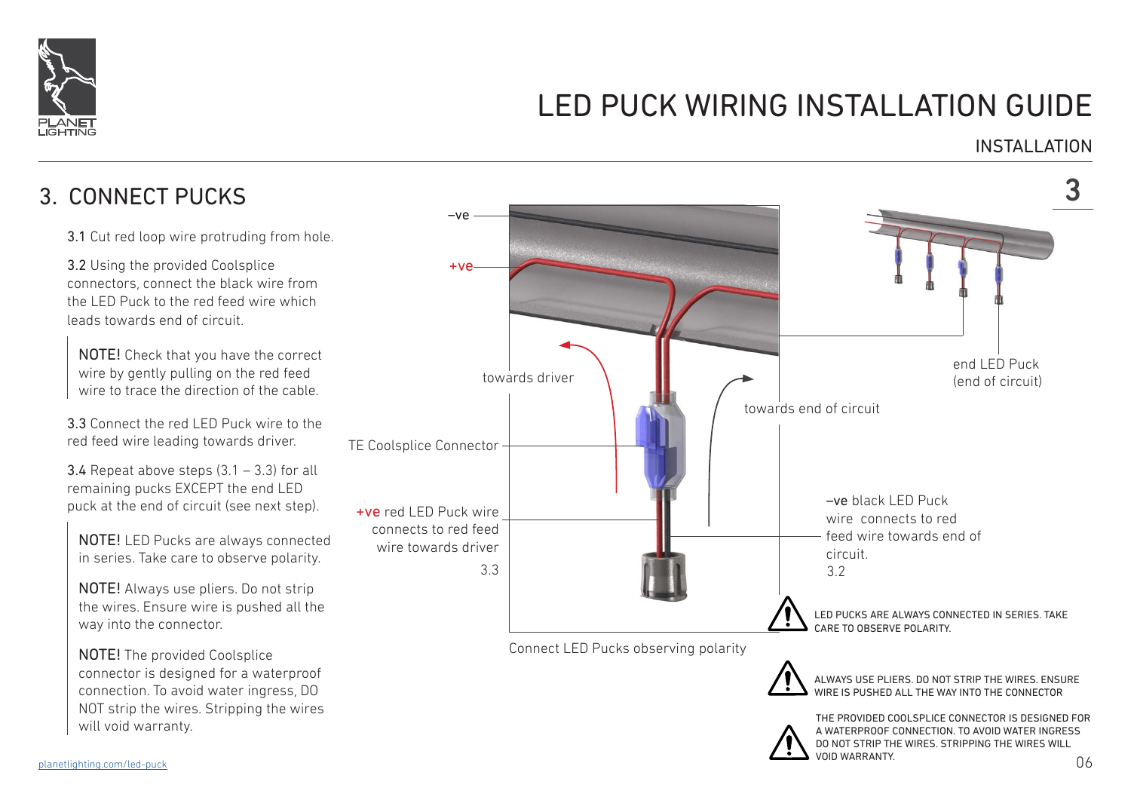

### INSTALLATION

## 3. CONNECT PUCKS 3

3.1 Cut red loop wire protruding from hole.

3.2 Using the provided Coolsplice connectors, connect the black wire from the LED Puck to the red feed wire which leads towards end of circuit.

NOTE! Check that you have the correct wire by gently pulling on the red feed wire to trace the direction of the cable.

3.3 Connect the red LED Puck wire to the red feed wire leading towards driver.

**3.4** Repeat above steps  $(3.1 - 3.3)$  for all remaining pucks EXCEPT the end LED puck at the end of circuit (see next step).

NOTE! LED Pucks are always connected in series. Take care to observe polarity.

NOTE! Always use pliers. Do not strip the wires. Ensure wire is pushed all the way into the connector.

NOTE! The provided Coolsplice connector is designed for a waterproof connection. To avoid water ingress, DO NOT strip the wires. Stripping the wires will void warranty.





ALWAYS USE PLIERS. DO NOT STRIP THE WIRES. ENSURE WIRE IS PUSHED ALL THE WAY INTO THE CONNECTOR

THE PROVIDED COOLSPLICE CONNECTOR IS DESIGNED FOR A WATERPROOF CONNECTION. TO AVOID WATER INGRESS DO NOT STRIP THE WIRES. STRIPPING THE WIRES WILL VOID WARRANTY.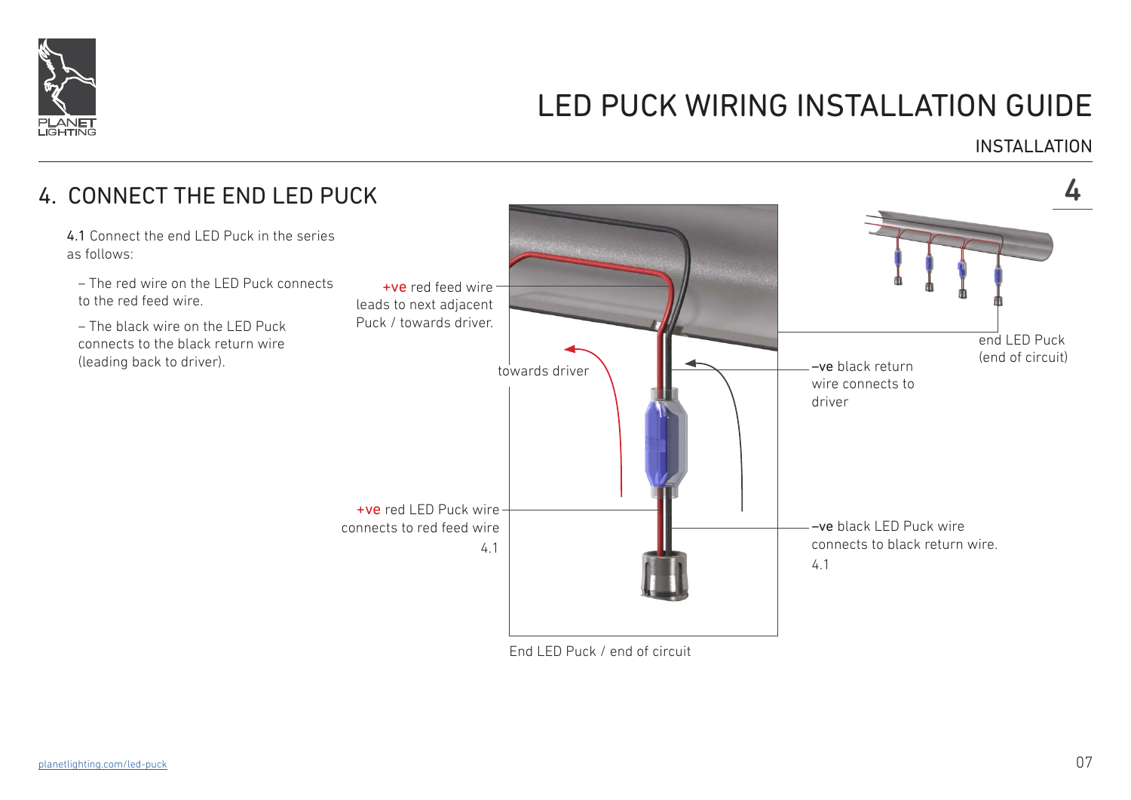

#### INSTALLATION



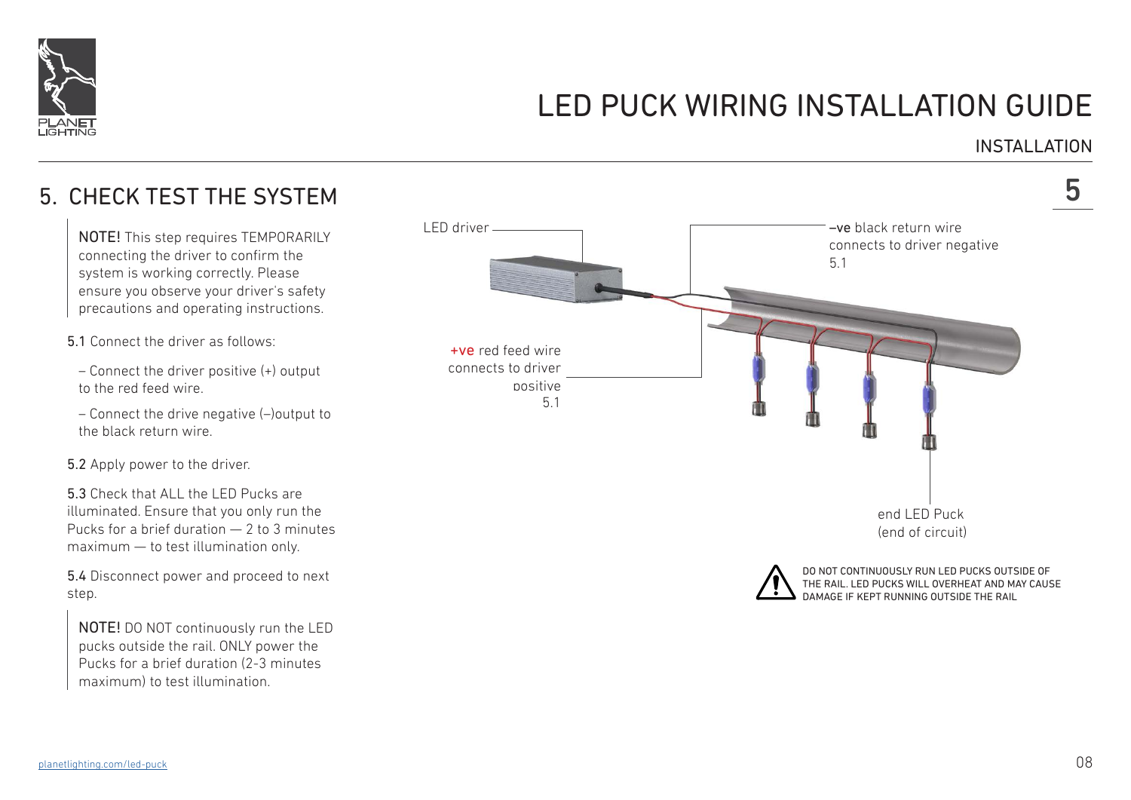

### INSTALLATION

## 5. CHECK TEST THE SYSTEM

NOTE! This step requires TEMPORARILY connecting the driver to confirm the system is working correctly. Please ensure you observe your driver's safety precautions and operating instructions.

5.1 Connect the driver as follows:

– Connect the driver positive (+) output to the red feed wire.

– Connect the drive negative (–)output to the black return wire.

5.2 Apply power to the driver.

5.3 Check that ALL the LED Pucks are illuminated. Ensure that you only run the Pucks for a brief duration — 2 to 3 minutes maximum — to test illumination only.

5.4 Disconnect power and proceed to next step.

NOTE! DO NOT continuously run the LED pucks outside the rail. ONLY power the Pucks for a brief duration (2-3 minutes maximum) to test illumination.

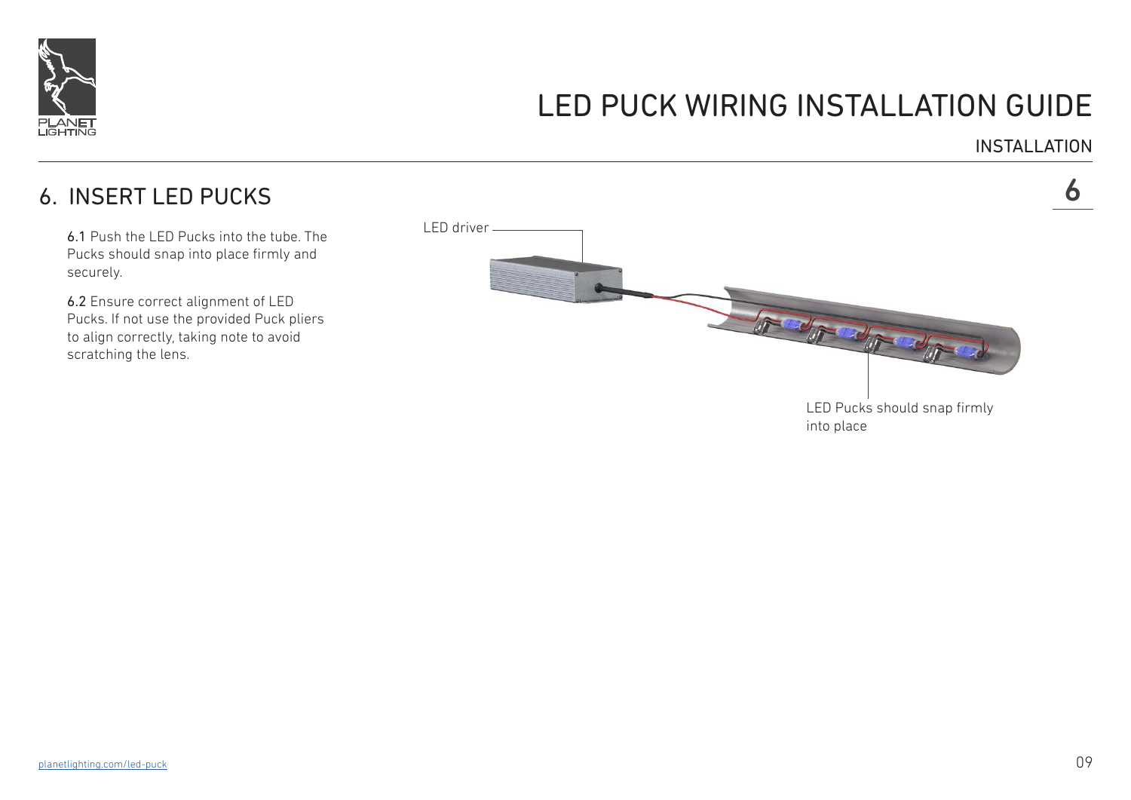

INSTALLATION

### 6. INSERT LED PUCKS 6

6.1 Push the LED Pucks into the tube. The Pucks should snap into place firmly and securely.

6.2 Ensure correct alignment of LED Pucks. If not use the provided Puck pliers to align correctly, taking note to avoid scratching the lens.

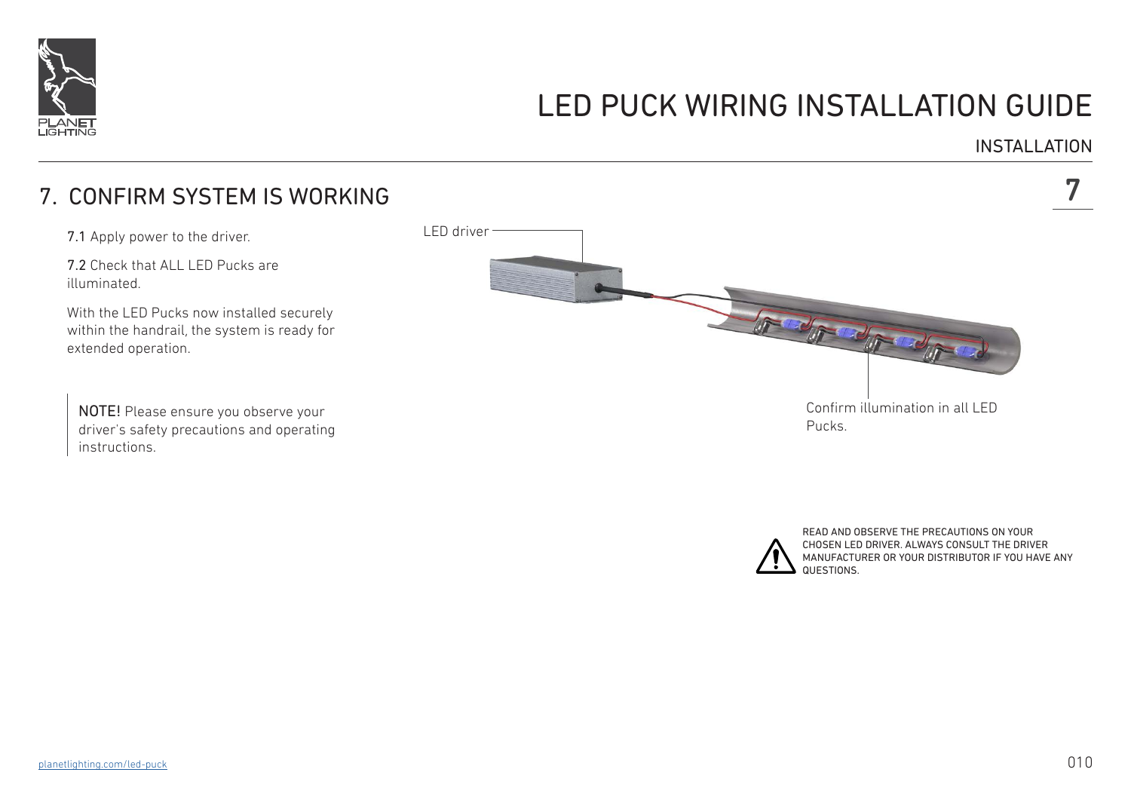

#### INSTALLATION

### 7. CONFIRM SYSTEM IS WORKING 7

7.1 Apply power to the driver.

7.2 Check that ALL LED Pucks are illuminated.

With the LED Pucks now installed securely within the handrail, the system is ready for extended operation.

NOTE! Please ensure you observe your driver's safety precautions and operating instructions.